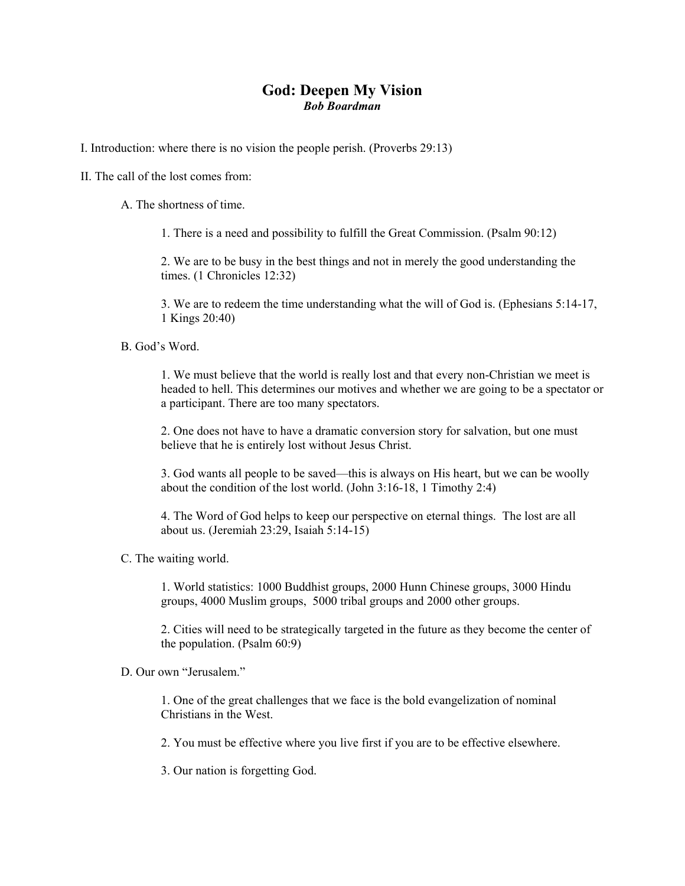## **God: Deepen My Vision**  *Bob Boardman*

I. Introduction: where there is no vision the people perish. (Proverbs 29:13)

II. The call of the lost comes from:

A. The shortness of time.

1. There is a need and possibility to fulfill the Great Commission. (Psalm 90:12)

2. We are to be busy in the best things and not in merely the good understanding the times. (1 Chronicles 12:32)

3. We are to redeem the time understanding what the will of God is. (Ephesians 5:14-17, 1 Kings 20:40)

B. God's Word.

1. We must believe that the world is really lost and that every non-Christian we meet is headed to hell. This determines our motives and whether we are going to be a spectator or a participant. There are too many spectators.

2. One does not have to have a dramatic conversion story for salvation, but one must believe that he is entirely lost without Jesus Christ.

3. God wants all people to be saved—this is always on His heart, but we can be woolly about the condition of the lost world. (John 3:16-18, 1 Timothy 2:4)

4. The Word of God helps to keep our perspective on eternal things. The lost are all about us. (Jeremiah 23:29, Isaiah 5:14-15)

C. The waiting world.

1. World statistics: 1000 Buddhist groups, 2000 Hunn Chinese groups, 3000 Hindu groups, 4000 Muslim groups, 5000 tribal groups and 2000 other groups.

2. Cities will need to be strategically targeted in the future as they become the center of the population. (Psalm 60:9)

D. Our own "Jerusalem."

1. One of the great challenges that we face is the bold evangelization of nominal Christians in the West.

2. You must be effective where you live first if you are to be effective elsewhere.

3. Our nation is forgetting God.